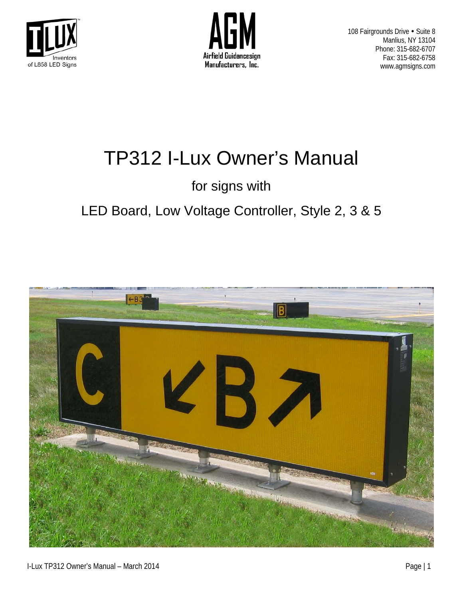



# TP312 I-Lux Owner's Manual

# for signs with

# LED Board, Low Voltage Controller, Style 2, 3 & 5

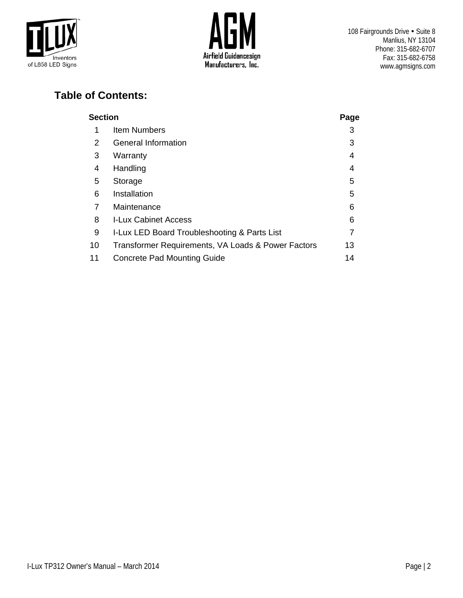



#### **Table of Contents:**

| Section |                                                    |    |  |  |
|---------|----------------------------------------------------|----|--|--|
| 1       | <b>Item Numbers</b>                                | 3  |  |  |
| 2       | General Information                                | 3  |  |  |
| 3       | Warranty                                           | 4  |  |  |
| 4       | Handling                                           | 4  |  |  |
| 5       | Storage                                            | 5  |  |  |
| 6       | Installation                                       | 5  |  |  |
| 7       | Maintenance                                        | 6  |  |  |
| 8       | <b>I-Lux Cabinet Access</b>                        | 6  |  |  |
| 9       | I-Lux LED Board Troubleshooting & Parts List       | 7  |  |  |
| 10      | Transformer Requirements, VA Loads & Power Factors | 13 |  |  |
| 11      | <b>Concrete Pad Mounting Guide</b>                 | 14 |  |  |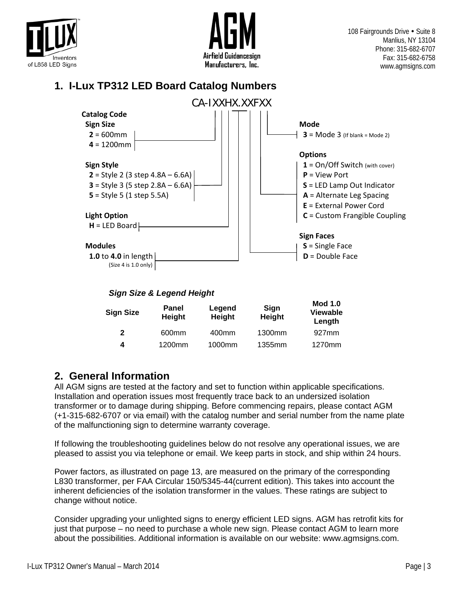



#### **1. I-Lux TP312 LED Board Catalog Numbers**



| Panel<br><b>Height</b> | Legend<br>Height | Sign<br>Height | <b>Mod 1.0</b><br><b>Viewable</b><br>Length |
|------------------------|------------------|----------------|---------------------------------------------|
| 600 <sub>mm</sub>      | 400mm            | 1300mm         | 927 <sub>mm</sub>                           |
| 1200mm                 | 1000mm           | 1355mm         | 1270mm                                      |
|                        |                  |                |                                             |

### **2. General Information**

All AGM signs are tested at the factory and set to function within applicable specifications. Installation and operation issues most frequently trace back to an undersized isolation transformer or to damage during shipping. Before commencing repairs, please contact AGM (+1-315-682-6707 or via email) with the catalog number and serial number from the name plate of the malfunctioning sign to determine warranty coverage.

If following the troubleshooting guidelines below do not resolve any operational issues, we are pleased to assist you via telephone or email. We keep parts in stock, and ship within 24 hours.

Power factors, as illustrated on page 13, are measured on the primary of the corresponding L830 transformer, per FAA Circular 150/5345-44(current edition). This takes into account the inherent deficiencies of the isolation transformer in the values. These ratings are subject to change without notice.

Consider upgrading your unlighted signs to energy efficient LED signs. AGM has retrofit kits for just that purpose – no need to purchase a whole new sign. Please contact AGM to learn more about the possibilities. Additional information is available on our website: www.agmsigns.com.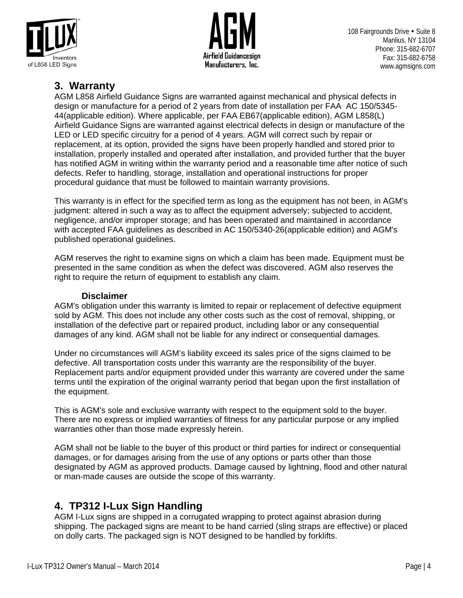



**3. Warranty**<br>AGM L858 Airfield Guidance Signs are warranted against mechanical and physical defects in design or manufacture for a period of 2 years from date of installation per FAA AC 150/5345- 44(applicable edition). Where applicable, per FAA EB67(applicable edition), AGM L858(L) Airfield Guidance Signs are warranted against electrical defects in design or manufacture of the LED or LED specific circuitry for a period of 4 years. AGM will correct such by repair or replacement, at its option, provided the signs have been properly handled and stored prior to installation, properly installed and operated after installation, and provided further that the buyer has notified AGM in writing within the warranty period and a reasonable time after notice of such defects. Refer to handling, storage, installation and operational instructions for proper procedural guidance that must be followed to maintain warranty provisions.

This warranty is in effect for the specified term as long as the equipment has not been, in AGM's judgment: altered in such a way as to affect the equipment adversely; subjected to accident, negligence, and/or improper storage; and has been operated and maintained in accordance with accepted FAA guidelines as described in AC 150/5340-26(applicable edition) and AGM's published operational guidelines.

AGM reserves the right to examine signs on which a claim has been made. Equipment must be presented in the same condition as when the defect was discovered. AGM also reserves the right to require the return of equipment to establish any claim.

#### **Disclaimer**

AGM's obligation under this warranty is limited to repair or replacement of defective equipment sold by AGM. This does not include any other costs such as the cost of removal, shipping, or installation of the defective part or repaired product, including labor or any consequential damages of any kind. AGM shall not be liable for any indirect or consequential damages.

Under no circumstances will AGM's liability exceed its sales price of the signs claimed to be defective. All transportation costs under this warranty are the responsibility of the buyer. Replacement parts and/or equipment provided under this warranty are covered under the same terms until the expiration of the original warranty period that began upon the first installation of the equipment.

This is AGM's sole and exclusive warranty with respect to the equipment sold to the buyer. There are no express or implied warranties of fitness for any particular purpose or any implied warranties other than those made expressly herein.

AGM shall not be liable to the buyer of this product or third parties for indirect or consequential damages, or for damages arising from the use of any options or parts other than those designated by AGM as approved products. Damage caused by lightning, flood and other natural or man-made causes are outside the scope of this warranty.

### **4. TP312 I-Lux Sign Handling**

AGM I-Lux signs are shipped in a corrugated wrapping to protect against abrasion during shipping. The packaged signs are meant to be hand carried (sling straps are effective) or placed on dolly carts. The packaged sign is NOT designed to be handled by forklifts.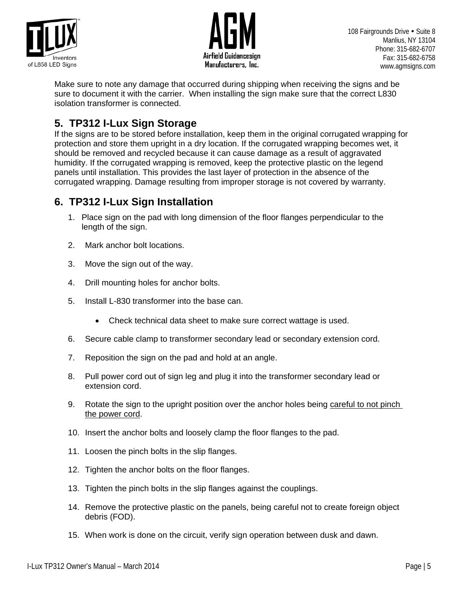



Make sure to note any damage that occurred during shipping when receiving the signs and be sure to document it with the carrier. When installing the sign make sure that the correct L830 isolation transformer is connected.

#### **5. TP312 I-Lux Sign Storage**

If the signs are to be stored before installation, keep them in the original corrugated wrapping for protection and store them upright in a dry location. If the corrugated wrapping becomes wet, it should be removed and recycled because it can cause damage as a result of aggravated humidity. If the corrugated wrapping is removed, keep the protective plastic on the legend panels until installation. This provides the last layer of protection in the absence of the corrugated wrapping. Damage resulting from improper storage is not covered by warranty.

#### **6. TP312 I-Lux Sign Installation**

- 1. Place sign on the pad with long dimension of the floor flanges perpendicular to the length of the sign.
- 2. Mark anchor bolt locations.
- 3. Move the sign out of the way.
- 4. Drill mounting holes for anchor bolts.
- 5. Install L-830 transformer into the base can.
	- Check technical data sheet to make sure correct wattage is used.
- 6. Secure cable clamp to transformer secondary lead or secondary extension cord.
- 7. Reposition the sign on the pad and hold at an angle.
- 8. Pull power cord out of sign leg and plug it into the transformer secondary lead or extension cord.
- 9. Rotate the sign to the upright position over the anchor holes being careful to not pinch the power cord.
- 10. Insert the anchor bolts and loosely clamp the floor flanges to the pad.
- 11. Loosen the pinch bolts in the slip flanges.
- 12. Tighten the anchor bolts on the floor flanges.
- 13. Tighten the pinch bolts in the slip flanges against the couplings.
- 14. Remove the protective plastic on the panels, being careful not to create foreign object debris (FOD).
- 15. When work is done on the circuit, verify sign operation between dusk and dawn.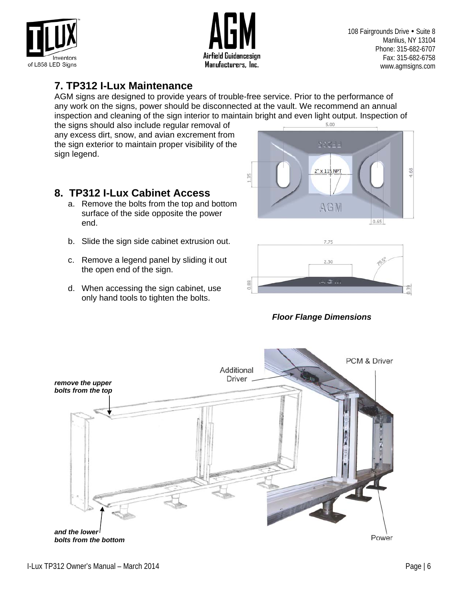



#### **7. TP312 I-Lux Maintenance**

AGM signs are designed to provide years of trouble-free service. Prior to the performance of any work on the signs, power should be disconnected at the vault. We recommend an annual inspection and cleaning of the sign interior to maintain bright and even light output. Inspection of the signs should also include requier removal of

the signs should also include regular removal of any excess dirt, snow, and avian excrement from the sign exterior to maintain proper visibility of the sign legend.

#### **8. TP312 I-Lux Cabinet Access**

- a. Remove the bolts from the top and bottom surface of the side opposite the power end.
- b. Slide the sign side cabinet extrusion out.
- c. Remove a legend panel by sliding it out the open end of the sign.
- d. When accessing the sign cabinet, use only hand tools to tighten the bolts.





*Floor Flange Dimensions* 

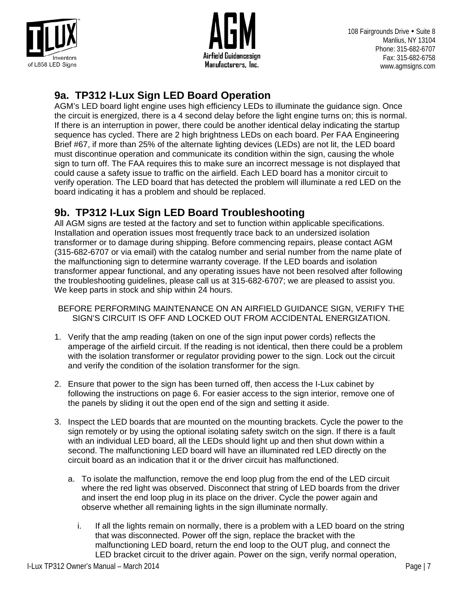



#### **9a. TP312 I-Lux Sign LED Board Operation**

AGM's LED board light engine uses high efficiency LEDs to illuminate the guidance sign. Once the circuit is energized, there is a 4 second delay before the light engine turns on; this is normal. If there is an interruption in power, there could be another identical delay indicating the startup sequence has cycled. There are 2 high brightness LEDs on each board. Per FAA Engineering Brief #67, if more than 25% of the alternate lighting devices (LEDs) are not lit, the LED board must discontinue operation and communicate its condition within the sign, causing the whole sign to turn off. The FAA requires this to make sure an incorrect message is not displayed that could cause a safety issue to traffic on the airfield. Each LED board has a monitor circuit to verify operation. The LED board that has detected the problem will illuminate a red LED on the board indicating it has a problem and should be replaced.

### **9b. TP312 I-Lux Sign LED Board Troubleshooting**

All AGM signs are tested at the factory and set to function within applicable specifications. Installation and operation issues most frequently trace back to an undersized isolation transformer or to damage during shipping. Before commencing repairs, please contact AGM (315-682-6707 or via email) with the catalog number and serial number from the name plate of the malfunctioning sign to determine warranty coverage. If the LED boards and isolation transformer appear functional, and any operating issues have not been resolved after following the troubleshooting guidelines, please call us at 315-682-6707; we are pleased to assist you. We keep parts in stock and ship within 24 hours.

BEFORE PERFORMING MAINTENANCE ON AN AIRFIELD GUIDANCE SIGN, VERIFY THE SIGN'S CIRCUIT IS OFF AND LOCKED OUT FROM ACCIDENTAL ENERGIZATION.

- 1. Verify that the amp reading (taken on one of the sign input power cords) reflects the amperage of the airfield circuit. If the reading is not identical, then there could be a problem with the isolation transformer or regulator providing power to the sign. Lock out the circuit and verify the condition of the isolation transformer for the sign.
- 2. Ensure that power to the sign has been turned off, then access the I-Lux cabinet by following the instructions on page 6. For easier access to the sign interior, remove one of the panels by sliding it out the open end of the sign and setting it aside.
- 3. Inspect the LED boards that are mounted on the mounting brackets. Cycle the power to the sign remotely or by using the optional isolating safety switch on the sign. If there is a fault with an individual LED board, all the LEDs should light up and then shut down within a second. The malfunctioning LED board will have an illuminated red LED directly on the circuit board as an indication that it or the driver circuit has malfunctioned.
	- a. To isolate the malfunction, remove the end loop plug from the end of the LED circuit where the red light was observed. Disconnect that string of LED boards from the driver and insert the end loop plug in its place on the driver. Cycle the power again and observe whether all remaining lights in the sign illuminate normally.
		- i. If all the lights remain on normally, there is a problem with a LED board on the string that was disconnected. Power off the sign, replace the bracket with the malfunctioning LED board, return the end loop to the OUT plug, and connect the LED bracket circuit to the driver again. Power on the sign, verify normal operation,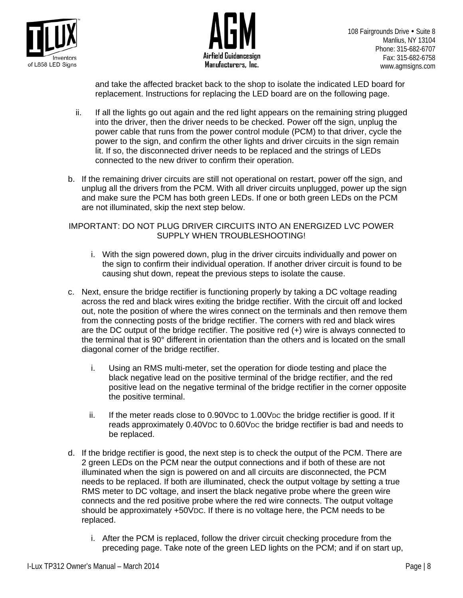



and take the affected bracket back to the shop to isolate the indicated LED board for replacement. Instructions for replacing the LED board are on the following page.

- ii. If all the lights go out again and the red light appears on the remaining string plugged into the driver, then the driver needs to be checked. Power off the sign, unplug the power cable that runs from the power control module (PCM) to that driver, cycle the power to the sign, and confirm the other lights and driver circuits in the sign remain lit. If so, the disconnected driver needs to be replaced and the strings of LEDs connected to the new driver to confirm their operation.
- b. If the remaining driver circuits are still not operational on restart, power off the sign, and unplug all the drivers from the PCM. With all driver circuits unplugged, power up the sign and make sure the PCM has both green LEDs. If one or both green LEDs on the PCM are not illuminated, skip the next step below.

IMPORTANT: DO NOT PLUG DRIVER CIRCUITS INTO AN ENERGIZED LVC POWER SUPPLY WHEN TROUBLESHOOTING!

- i. With the sign powered down, plug in the driver circuits individually and power on the sign to confirm their individual operation. If another driver circuit is found to be causing shut down, repeat the previous steps to isolate the cause.
- c. Next, ensure the bridge rectifier is functioning properly by taking a DC voltage reading across the red and black wires exiting the bridge rectifier. With the circuit off and locked out, note the position of where the wires connect on the terminals and then remove them from the connecting posts of the bridge rectifier. The corners with red and black wires are the DC output of the bridge rectifier. The positive red (+) wire is always connected to the terminal that is 90° different in orientation than the others and is located on the small diagonal corner of the bridge rectifier.
	- i. Using an RMS multi-meter, set the operation for diode testing and place the black negative lead on the positive terminal of the bridge rectifier, and the red positive lead on the negative terminal of the bridge rectifier in the corner opposite the positive terminal.
	- ii. If the meter reads close to 0.90VDC to 1.00VDC the bridge rectifier is good. If it reads approximately 0.40VDC to 0.60VDC the bridge rectifier is bad and needs to be replaced.
- d. If the bridge rectifier is good, the next step is to check the output of the PCM. There are 2 green LEDs on the PCM near the output connections and if both of these are not illuminated when the sign is powered on and all circuits are disconnected, the PCM needs to be replaced. If both are illuminated, check the output voltage by setting a true RMS meter to DC voltage, and insert the black negative probe where the green wire connects and the red positive probe where the red wire connects. The output voltage should be approximately +50VDC. If there is no voltage here, the PCM needs to be replaced.
	- i. After the PCM is replaced, follow the driver circuit checking procedure from the preceding page. Take note of the green LED lights on the PCM; and if on start up,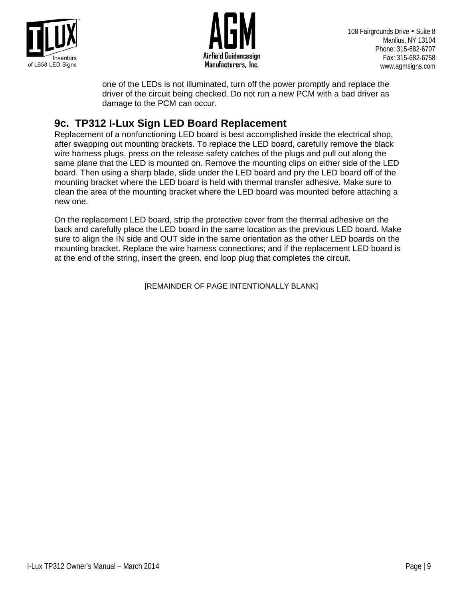



one of the LEDs is not illuminated, turn off the power promptly and replace the driver of the circuit being checked. Do not run a new PCM with a bad driver as damage to the PCM can occur.

**9c. TP312 I-Lux Sign LED Board Replacement**<br>Replacement of a nonfunctioning LED board is best accomplished inside the electrical shop, after swapping out mounting brackets. To replace the LED board, carefully remove the black wire harness plugs, press on the release safety catches of the plugs and pull out along the same plane that the LED is mounted on. Remove the mounting clips on either side of the LED board. Then using a sharp blade, slide under the LED board and pry the LED board off of the mounting bracket where the LED board is held with thermal transfer adhesive. Make sure to clean the area of the mounting bracket where the LED board was mounted before attaching a new one.

On the replacement LED board, strip the protective cover from the thermal adhesive on the back and carefully place the LED board in the same location as the previous LED board. Make sure to align the IN side and OUT side in the same orientation as the other LED boards on the mounting bracket. Replace the wire harness connections; and if the replacement LED board is at the end of the string, insert the green, end loop plug that completes the circuit.

[REMAINDER OF PAGE INTENTIONALLY BLANK]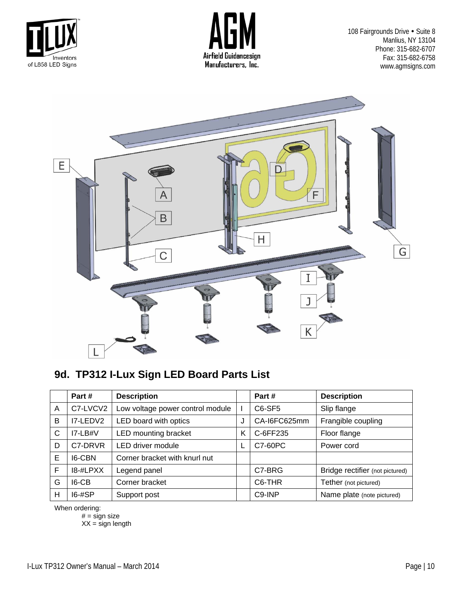





### **9d. TP312 I-Lux Sign LED Board Parts List**

|   | Part#         | <b>Description</b>               |   | Part#               | <b>Description</b>              |
|---|---------------|----------------------------------|---|---------------------|---------------------------------|
| A | C7-LVCV2      | Low voltage power control module |   | C6-SF5              | Slip flange                     |
| B | I7-LEDV2      | LED board with optics            | J | CA-I6FC625mm        | Frangible coupling              |
| C | $IZ-LB#V$     | LED mounting bracket             | κ | C-6FF235            | Floor flange                    |
| D | C7-DRVR       | LED driver module                |   | C7-60PC             | Power cord                      |
| E | <b>I6-CBN</b> | Corner bracket with knurl nut    |   |                     |                                 |
| F | 18-#LPXX      | Legend panel                     |   | C7-BRG              | Bridge rectifier (not pictured) |
| G | $IG-CB$       | Corner bracket                   |   | C <sub>6</sub> -THR | Tether (not pictured)           |
| Н | $16 - #SP$    | Support post                     |   | C9-INP              | Name plate (note pictured)      |

When ordering:

 $# =$  sign size

 $XX =$  sign length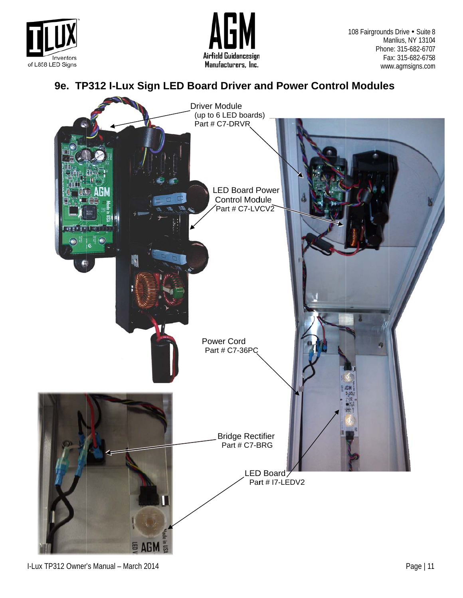



Manlius, NY 1310 Phone: 315-682-6707 Fa ax: 315-682-675 8 ww ww.agmsigns.com 108 Fairgrounds Drive . Suite 8 **s** Drive • Suite 8<br>anlius, NY 13104<br>he: 315-682-6707<br>ax: 315-682-6758<br>w.agmsigns.com<br>S 4

#### 9e. TP312 I-Lux Sign LED Board Driver and Power Control Modules



I-Lux TP312 Owner's Manual - March 2014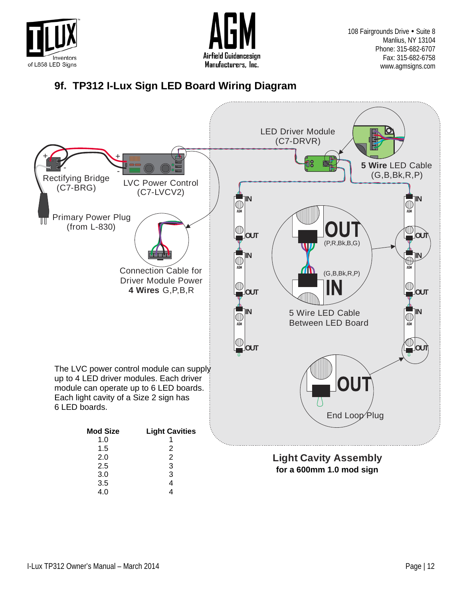



### **9f. TP312 I-Lux Sign LED Board Wiring Diagram**

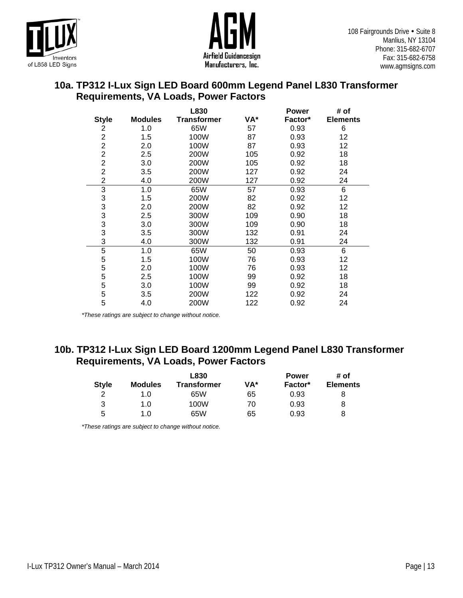



#### **10a. TP312 I-Lux Sign LED Board 600mm Legend Panel L830 Transformer Requirements, VA Loads, Power Factors**

|                |                | L830               |     | <b>Power</b> | # of            |
|----------------|----------------|--------------------|-----|--------------|-----------------|
| <b>Style</b>   | <b>Modules</b> | <b>Transformer</b> | VA* | Factor*      | <b>Elements</b> |
| 2              | 1.0            | 65W                | 57  | 0.93         | 6               |
| $\overline{c}$ | 1.5            | 100W               | 87  | 0.93         | 12              |
| $\overline{c}$ | 2.0            | 100W               | 87  | 0.93         | 12              |
| $\overline{c}$ | 2.5            | 200W               | 105 | 0.92         | 18              |
| $\overline{c}$ | 3.0            | 200W               | 105 | 0.92         | 18              |
| $\overline{c}$ | 3.5            | 200W               | 127 | 0.92         | 24              |
| 2              | 4.0            | 200W               | 127 | 0.92         | 24              |
| 3              | 1.0            | 65W                | 57  | 0.93         | 6               |
| 3              | 1.5            | 200W               | 82  | 0.92         | 12              |
| 3              | 2.0            | 200W               | 82  | 0.92         | 12              |
| $\frac{3}{3}$  | 2.5            | 300W               | 109 | 0.90         | 18              |
|                | 3.0            | 300W               | 109 | 0.90         | 18              |
| 3              | 3.5            | 300W               | 132 | 0.91         | 24              |
| 3              | 4.0            | 300W               | 132 | 0.91         | 24              |
| $\mathbf 5$    | 1.0            | 65W                | 50  | 0.93         | 6               |
| 5              | 1.5            | 100W               | 76  | 0.93         | 12              |
| 5              | 2.0            | 100W               | 76  | 0.93         | 12              |
| 5              | 2.5            | 100W               | 99  | 0.92         | 18              |
| 5              | 3.0            | 100W               | 99  | 0.92         | 18              |
| 5              | 3.5            | 200W               | 122 | 0.92         | 24              |
| 5              | 4.0            | 200W               | 122 | 0.92         | 24              |

*\*These ratings are subject to change without notice.* 

#### **10b. TP312 I-Lux Sign LED Board 1200mm Legend Panel L830 Transformer Requirements, VA Loads, Power Factors**

|              |                | L830               |     | <b>Power</b> | # of            |  |
|--------------|----------------|--------------------|-----|--------------|-----------------|--|
| <b>Style</b> | <b>Modules</b> | <b>Transformer</b> | VA* | Factor*      | <b>Elements</b> |  |
| っ            | 1.0            | 65W                | 65  | 0.93         |                 |  |
| 3            | 1.0            | 100W               | 70  | 0.93         | 8               |  |
| 5            | 1.0            | 65W                | 65  | 0.93         | 8               |  |

*\*These ratings are subject to change without notice.*